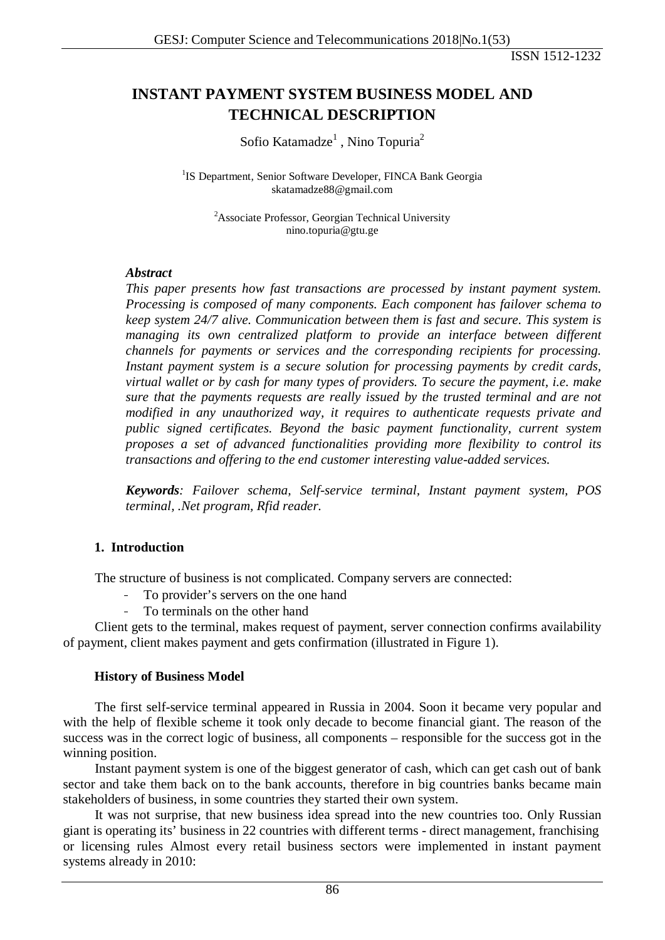# **INSTANT PAYMENT SYSTEM BUSINESS MODEL AND TECHNICAL DESCRIPTION**

Sofio Katamadze<sup>1</sup>, Nino Topuria<sup>2</sup>

<sup>1</sup>IS Department, Senior Software Developer, FINCA Bank Georgia [skatamadze88@gmail.com](mailto:damibaola@gmail.com)

<sup>2</sup> Associate Professor, Georgian Technical University nino.topuria@gtu.ge

#### *Abstract*

*This paper presents how fast transactions are processed by instant payment system. Processing is composed of many components. Each component has failover schema to keep system 24/7 alive. Communication between them is fast and secure. This system is managing its own centralized platform to provide an interface between different channels for payments or services and the corresponding recipients for processing. Instant payment system is a secure solution for processing payments by credit cards, virtual wallet or by cash for many types of providers. To secure the payment, i.e. make sure that the payments requests are really issued by the trusted terminal and are not modified in any unauthorized way, it requires to authenticate requests private and public signed certificates. Beyond the basic payment functionality, current system proposes a set of advanced functionalities providing more flexibility to control its transactions and offering to the end customer interesting value-added services.*

*Keywords: Failover schema, Self-service terminal, Instant payment system, POS terminal, .Net program, Rfid reader.*

#### **1. Introduction**

The structure of business is not complicated. Company servers are connected:

- To provider's servers on the one hand
- To terminals on the other hand

Client gets to the terminal, makes request of payment, server connection confirms availability of payment, client makes payment and gets confirmation (illustrated in Figure 1).

#### **History of Business Model**

The first self-service terminal appeared in Russia in 2004. Soon it became very popular and with the help of flexible scheme it took only decade to become financial giant. The reason of the success was in the correct logic of business, all components – responsible for the success got in the winning position.

Instant payment system is one of the biggest generator of cash, which can get cash out of bank sector and take them back on to the bank accounts, therefore in big countries banks became main stakeholders of business, in some countries they started their own system.

It was not surprise, that new business idea spread into the new countries too. Only Russian giant is operating its' business in 22 countries with different terms - direct management, franchising or licensing rules Almost every retail business sectors were implemented in instant payment systems already in 2010: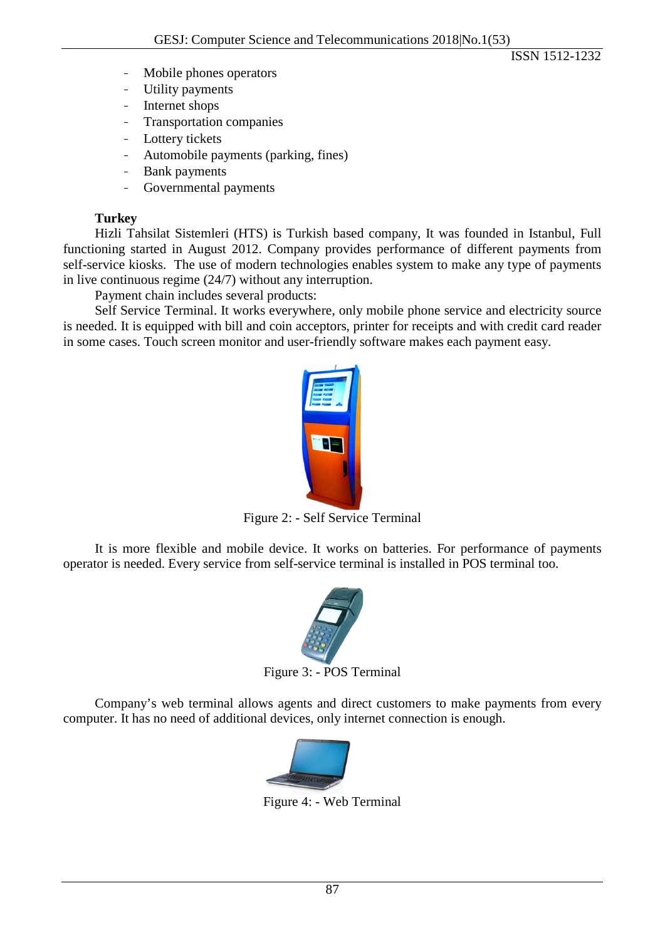- Mobile phones operators
- Utility payments
- Internet shops
- Transportation companies
- Lottery tickets
- Automobile payments (parking, fines)
- Bank payments
- Governmental payments

## **Turkey**

Hizli Tahsilat Sistemleri (HTS) is Turkish based company, It was founded in Istanbul, Full functioning started in August 2012. Company provides performance of different payments from self-service kiosks. The use of modern technologies enables system to make any type of payments in live continuous regime (24/7) without any interruption.

Payment chain includes several products:

Self Service Terminal. It works everywhere, only mobile phone service and electricity source is needed. It is equipped with bill and coin acceptors, printer for receipts and with credit card reader in some cases. Touch screen monitor and user-friendly software makes each payment easy.



Figure 2: - Self Service Terminal

It is more flexible and mobile device. It works on batteries. For performance of payments operator is needed. Every service from self-service terminal is installed in POS terminal too.



Company's web terminal allows agents and direct customers to make payments from every computer. It has no need of additional devices, only internet connection is enough.



Figure 4: - Web Terminal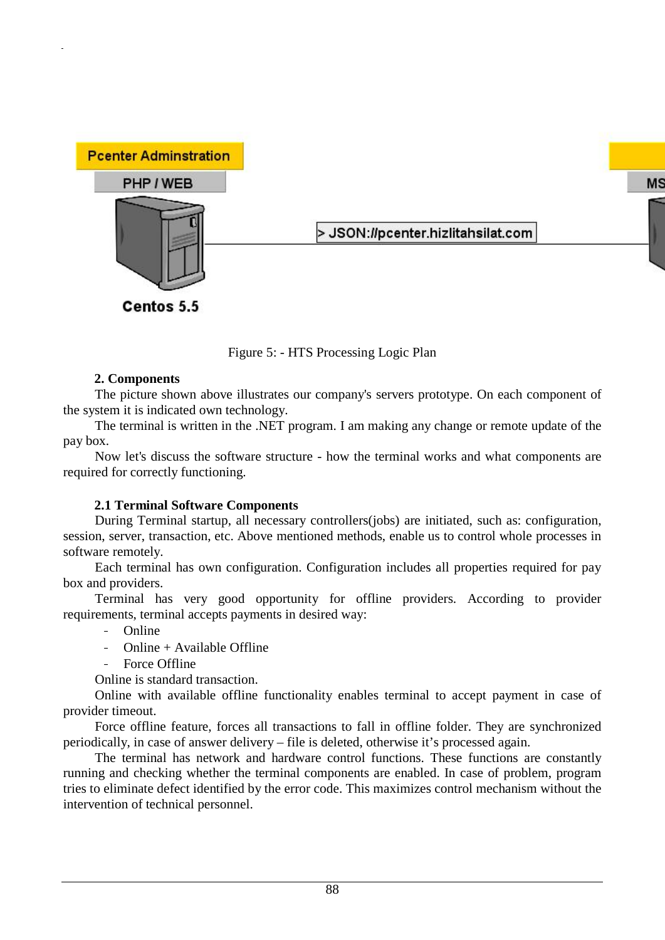

Figure 5: - HTS Processing Logic Plan

### **2. Components**

The picture shown above illustrates our company's servers prototype. On each component of the system it is indicated own technology.

The terminal is written in the .NET program. I am making any change or remote update of the pay box.

Now let's discuss the software structure - how the terminal works and what components are required for correctly functioning.

## **2.1 Terminal Software Components**

During Terminal startup, all necessary controllers(jobs) are initiated, such as: configuration, session, server, transaction, etc. Above mentioned methods, enable us to control whole processes in software remotely.

Each terminal has own configuration. Configuration includes all properties required for pay box and providers.

Terminal has very good opportunity for offline providers. According to provider requirements, terminal accepts payments in desired way:

- Online

- Online + Available Offline
- Force Offline

Online is standard transaction.

Online with available offline functionality enables terminal to accept payment in case of provider timeout.

Force offline feature, forces all transactions to fall in offline folder. They are synchronized periodically, in case of answer delivery – file is deleted, otherwise it's processed again.

The terminal has network and hardware control functions. These functions are constantly running and checking whether the terminal components are enabled. In case of problem, program tries to eliminate defect identified by the error code. This maximizes control mechanism without the intervention of technical personnel.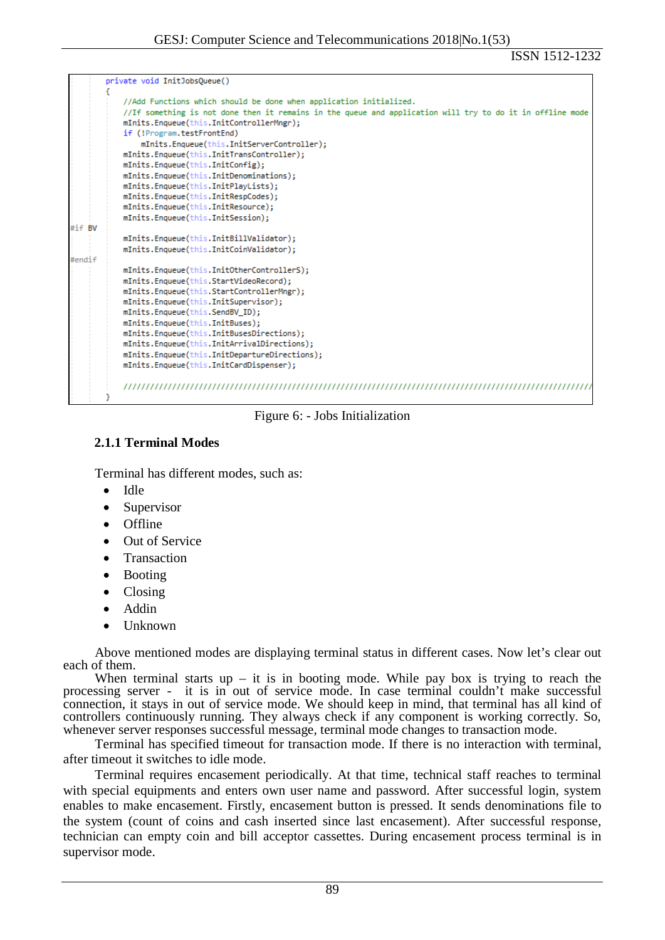|        | private void InitJobsOueue()                                                                              |  |  |  |
|--------|-----------------------------------------------------------------------------------------------------------|--|--|--|
|        |                                                                                                           |  |  |  |
|        | //Add Functions which should be done when application initialized.                                        |  |  |  |
|        | //If something is not done then it remains in the queue and application will try to do it in offline mode |  |  |  |
|        | mInits.Enqueue(this.InitControllerMngr);                                                                  |  |  |  |
|        | if (!Program.testFrontEnd)                                                                                |  |  |  |
|        | mInits.Enaueue(this.InitServerController);                                                                |  |  |  |
|        | mInits.Enqueue(this.InitTransController);                                                                 |  |  |  |
|        | mInits.Enqueue(this.InitConfig);                                                                          |  |  |  |
|        | mInits.Enqueue(this.InitDenominations);                                                                   |  |  |  |
|        | mInits.Enqueue(this.InitPlayLists);                                                                       |  |  |  |
|        | mInits.Enqueue(this.InitRespCodes);                                                                       |  |  |  |
|        | mInits.Enqueue(this.InitResource);                                                                        |  |  |  |
|        | mInits.Enqueue(this.InitSession);                                                                         |  |  |  |
| #if BV |                                                                                                           |  |  |  |
|        | mInits.Enqueue(this.InitBillValidator);                                                                   |  |  |  |
|        | mInits.Enqueue(this.InitCoinValidator);                                                                   |  |  |  |
| #endif |                                                                                                           |  |  |  |
|        | mInits.Enqueue(this.InitOtherControllerS);                                                                |  |  |  |
|        | mInits.Enqueue(this.StartVideoRecord);                                                                    |  |  |  |
|        | mInits.Enqueue(this.StartControllerMngr);                                                                 |  |  |  |
|        | mInits.Enqueue(this.InitSupervisor);                                                                      |  |  |  |
|        | mInits.Enqueue(this.SendBV_ID);                                                                           |  |  |  |
|        | mInits.Enqueue(this.InitBuses);                                                                           |  |  |  |
|        | mInits.Enqueue(this.InitBusesDirections);                                                                 |  |  |  |
|        | mInits.Enqueue(this.InitArrivalDirections);                                                               |  |  |  |
|        | mInits.Enqueue(this.InitDepartureDirections);                                                             |  |  |  |
|        | mInits.Enqueue(this.InitCardDispenser);                                                                   |  |  |  |
|        |                                                                                                           |  |  |  |

Figure 6: - Jobs Initialization

### **2.1.1 Terminal Modes**

Terminal has different modes, such as:

- Idle
- Supervisor
- Offline
- Out of Service
- **Transaction**
- Booting
- Closing
- Addin
- Unknown

Above mentioned modes are displaying terminal status in different cases. Now let's clear out each of them.

When terminal starts  $up - it$  is in booting mode. While pay box is trying to reach the processing server - it is in out of service mode. In case terminal couldn't make successful connection, it stays in out of service mode. We should keep in mind, that terminal has all kind of controllers continuously running. They always check if any component is working correctly. So, whenever server responses successful message, terminal mode changes to transaction mode.

Terminal has specified timeout for transaction mode. If there is no interaction with terminal, after timeout it switches to idle mode.

Terminal requires encasement periodically. At that time, technical staff reaches to terminal with special equipments and enters own user name and password. After successful login, system enables to make encasement. Firstly, encasement button is pressed. It sends denominations file to the system (count of coins and cash inserted since last encasement). After successful response, technician can empty coin and bill acceptor cassettes. During encasement process terminal is in supervisor mode.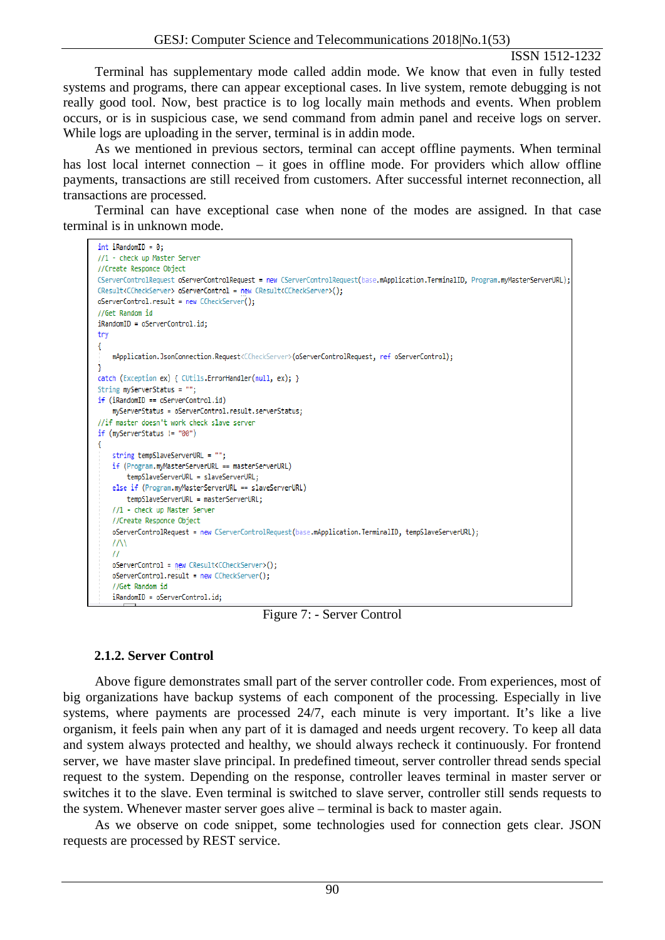Terminal has supplementary mode called addin mode. We know that even in fully tested systems and programs, there can appear exceptional cases. In live system, remote debugging is not really good tool. Now, best practice is to log locally main methods and events. When problem occurs, or is in suspicious case, we send command from admin panel and receive logs on server. While logs are uploading in the server, terminal is in addin mode.

As we mentioned in previous sectors, terminal can accept offline payments. When terminal has lost local internet connection – it goes in offline mode. For providers which allow offline payments, transactions are still received from customers. After successful internet reconnection, all transactions are processed.

Terminal can have exceptional case when none of the modes are assigned. In that case terminal is in unknown mode.

```
int iRandomID = 0;
//1 - check up Master Server
//Create Responce Object
CServerControlRequest oServerControlRequest = new CServerControlRequest(base.mApplication.TerminalID, Program.myMasterServerURL);
CResult<CCheckServer> oServerControl = new CResult<CCheckServer>();
oServerControl.result = new CCheckServer();
//Get Random id
ikandomID = oServerControl.id:try
€
    mApplication.JsonConnection.Request<CCheckServer>(oServerControlRequest, ref oServerControl);
catch (Exception ex) { CUtils.ErrorHandler(null, ex); }
String myServerStatus = "";
if (iRandomID == oServerControl.id)
   myServerStatus = oServerControl.result.serverStatus:
//if master doesn't work check slave server
if (myServerStatus != "00")
    string tempSlaveServerURL = "";
    if (Program.myMasterServerURL == masterServerURL)
       tempSlaveServerURL = slaveServerURL;
    else if (Program.myMasterServerURL == slaveServerURL)
       tempSlaveServerURL = masterServerURL:
    //1 - check up Master Server
    //Create Responce Object
    oServerControlRequest = new CServerControlRequest(base.mApplication.TerminalID, tempSlaveServerURL);
    \frac{1}{\sqrt{2}}\frac{1}{2}oServerControl = new CResult<CCheckServer>();
    oServerControl.result = new CCheckServer();
    //Get Random id
    ikandomID = oServerControl.id:
```
Figure 7: - Server Control

## **2.1.2. Server Control**

Above figure demonstrates small part of the server controller code. From experiences, most of big organizations have backup systems of each component of the processing. Especially in live systems, where payments are processed 24/7, each minute is very important. It's like a live organism, it feels pain when any part of it is damaged and needs urgent recovery. To keep all data and system always protected and healthy, we should always recheck it continuously. For frontend server, we have master slave principal. In predefined timeout, server controller thread sends special request to the system. Depending on the response, controller leaves terminal in master server or switches it to the slave. Even terminal is switched to slave server, controller still sends requests to the system. Whenever master server goes alive – terminal is back to master again.

As we observe on code snippet, some technologies used for connection gets clear. JSON requests are processed by REST service.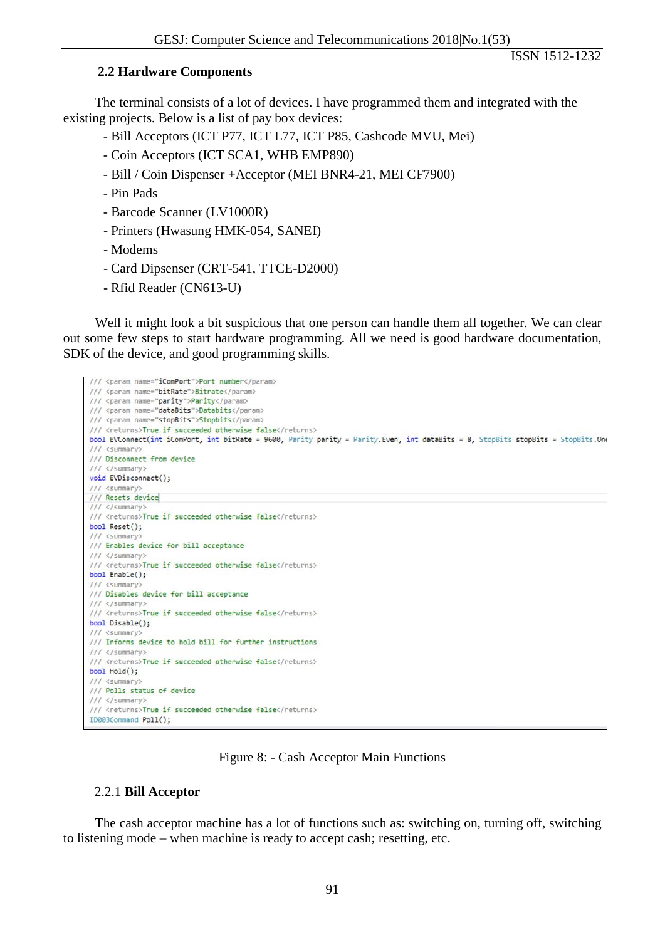#### **2.2 Hardware Components**

The terminal consists of a lot of devices. I have programmed them and integrated with the existing projects. Below is a list of pay box devices:

- Bill Acceptors (ICT P77, ICT L77, ICT P85, Cashcode MVU, Mei)
- Coin Acceptors (ICT SCA1, WHB EMP890)
- Bill / Coin Dispenser +Acceptor (MEI BNR4-21, MEI CF7900)
- Pin Pads
- Barcode Scanner (LV1000R)
- Printers (Hwasung HMK-054, SANEI)
- Modems
- Card Dipsenser (CRT-541, TTCE-D2000)
- Rfid Reader (CN613-U)

Well it might look a bit suspicious that one person can handle them all together. We can clear out some few steps to start hardware programming. All we need is good hardware documentation, SDK of the device, and good programming skills.



#### Figure 8: - Cash Acceptor Main Functions

#### 2.2.1 **Bill Acceptor**

The cash acceptor machine has a lot of functions such as: switching on, turning off, switching to listening mode – when machine is ready to accept cash; resetting, etc.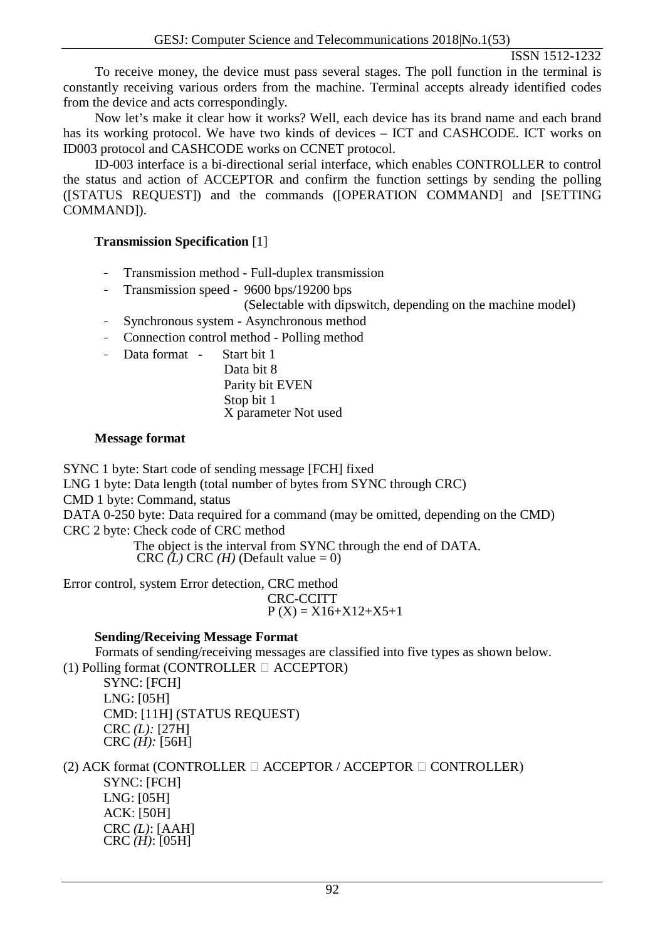To receive money, the device must pass several stages. The poll function in the terminal is constantly receiving various orders from the machine. Terminal accepts already identified codes from the device and acts correspondingly.

Now let's make it clear how it works? Well, each device has its brand name and each brand has its working protocol. We have two kinds of devices – ICT and CASHCODE. ICT works on ID003 protocol and CASHCODE works on CCNET protocol.

ID-003 interface is a bi-directional serial interface, which enables CONTROLLER to control the status and action of ACCEPTOR and confirm the function settings by sending the polling ([STATUS REQUEST]) and the commands ([OPERATION COMMAND] and [SETTING COMMAND]).

## **Transmission Specification** [1]

- Transmission method Full-duplex transmission
- Transmission speed 9600 bps/19200 bps

(Selectable with dipswitch, depending on the machine model)

- Synchronous system Asynchronous method
- Connection control method Polling method
- Data format Start bit 1

Data bit 8 Parity bit EVEN Stop bit 1 X parameter Not used

## **Message format**

SYNC 1 byte: Start code of sending message [FCH] fixed

LNG 1 byte: Data length (total number of bytes from SYNC through CRC)

CMD 1 byte: Command, status

DATA 0-250 byte: Data required for a command (may be omitted, depending on the CMD) CRC 2 byte: Check code of CRC method

The object is the interval from SYNC through the end of DATA. CRC  $(L)$  CRC  $(H)$  (Default value = 0)

Error control, system Error detection, CRC method

CRC-CCITT  $P(X) = X16+X12+X5+1$ 

## **Sending/Receiving Message Format**

Formats of sending/receiving messages are classified into five types as shown below. (1) Polling format (CONTROLLER  $\Box$  ACCEPTOR)

SYNC: [FCH] LNG: [05H] CMD: [11H] (STATUS REQUEST) CRC *(L):* [27H] CRC *(H):* [56H]

(2) ACK format (CONTROLLER  $\Box$  ACCEPTOR / ACCEPTOR  $\Box$  CONTROLLER) SYNC: [FCH] LNG: [05H] ACK: [50H] CRC *(L)*: [AAH] CRC *(H)*: [05H]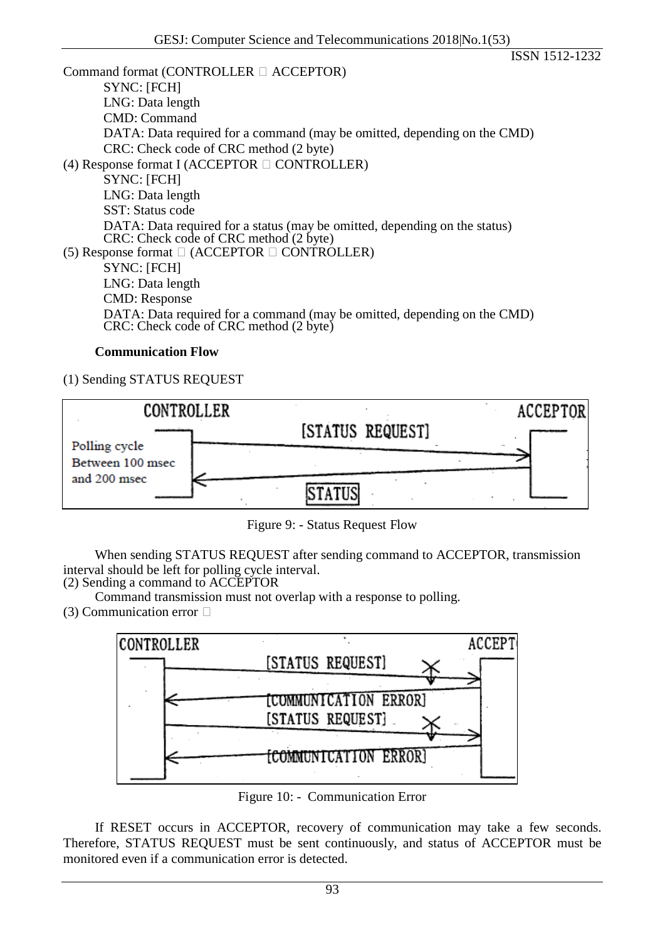Command format (CONTROLLER  $\Box$  ACCEPTOR) SYNC: [FCH] LNG: Data length CMD: Command DATA: Data required for a command (may be omitted, depending on the CMD) CRC: Check code of CRC method (2 byte) (4) Response format I (ACCEPTOR  $\Box$  CONTROLLER) SYNC: [FCH] LNG: Data length SST: Status code DATA: Data required for a status (may be omitted, depending on the status) DATA: Data required for a status (may co.)<br>CRC: Check code of CRC method (2 byte) (5) Response format  $\Box$  (ACCEPTOR  $\Box$  CONTROLLER) SYNC: [FCH] LNG: Data length CMD: Response DATA: Data required for a command (may be omitted, depending on the CMD) CRC: Check code of CRC method (2 byte)

#### **Communication Flow**

(1) Sending STATUS REQUEST



Figure 9: - Status Request Flow

When sending STATUS REQUEST after sending command to ACCEPTOR, transmission interval should be left for polling cycle interval.

(2) Sending a command to ACCEPTOR

Command transmission must not overlap with a response to polling. (3) Communication error  $\Box$ 



Figure 10: - Communication Error

If RESET occurs in ACCEPTOR, recovery of communication may take a few seconds. Therefore, STATUS REQUEST must be sent continuously, and status of ACCEPTOR must be monitored even if a communication error is detected.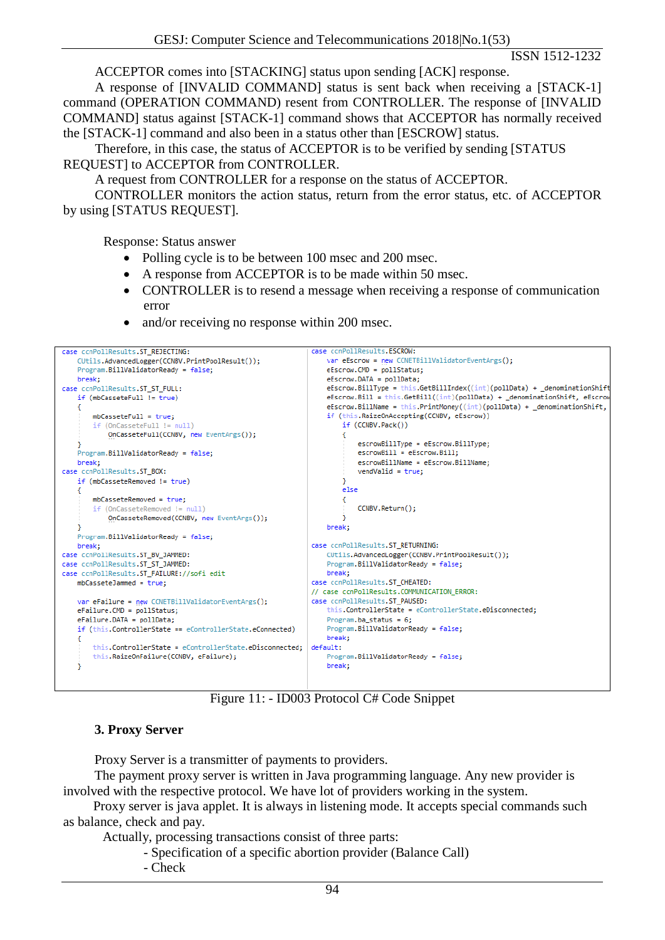ACCEPTOR comes into [STACKING] status upon sending [ACK] response.

A response of [INVALID COMMAND] status is sent back when receiving a [STACK-1] command (OPERATION COMMAND) resent from CONTROLLER. The response of [INVALID COMMAND] status against [STACK-1] command shows that ACCEPTOR has normally received the [STACK-1] command and also been in a status other than [ESCROW] status.

Therefore, in this case, the status of ACCEPTOR is to be verified by sending [STATUS REQUEST] to ACCEPTOR from CONTROLLER.

A request from CONTROLLER for a response on the status of ACCEPTOR.

CONTROLLER monitors the action status, return from the error status, etc. of ACCEPTOR by using [STATUS REQUEST].

Response: Status answer

- Polling cycle is to be between 100 msec and 200 msec.
- A response from ACCEPTOR is to be made within 50 msec.
- CONTROLLER is to resend a message when receiving a response of communication error
- and/or receiving no response within 200 msec.



Figure 11: - ID003 Protocol C# Code Snippet

#### **3. Proxy Server**

Proxy Server is a transmitter of payments to providers.

The payment proxy server is written in Java programming language. Any new provider is involved with the respective protocol. We have lot of providers working in the system.

 Proxy server is java applet. It is always in listening mode. It accepts special commands such as balance, check and pay.

Actually, processing transactions consist of three parts:

- Specification of a specific abortion provider (Balance Call)
	- Check